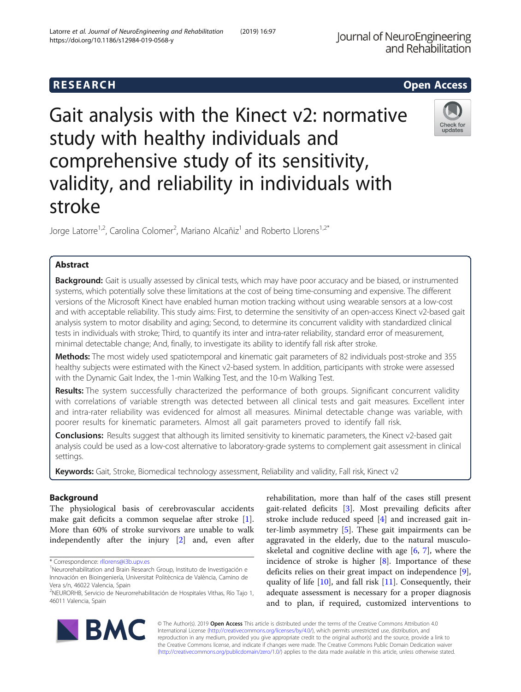# Gait analysis with the Kinect v2: normative study with healthy individuals and comprehensive study of its sensitivity, validity, and reliability in individuals with stroke

Jorge Latorre<sup>1,2</sup>, Carolina Colomer<sup>2</sup>, Mariano Alcañiz<sup>1</sup> and Roberto Llorens<sup>1,2\*</sup>

# Abstract

Background: Gait is usually assessed by clinical tests, which may have poor accuracy and be biased, or instrumented systems, which potentially solve these limitations at the cost of being time-consuming and expensive. The different versions of the Microsoft Kinect have enabled human motion tracking without using wearable sensors at a low-cost and with acceptable reliability. This study aims: First, to determine the sensitivity of an open-access Kinect v2-based gait analysis system to motor disability and aging; Second, to determine its concurrent validity with standardized clinical tests in individuals with stroke; Third, to quantify its inter and intra-rater reliability, standard error of measurement, minimal detectable change; And, finally, to investigate its ability to identify fall risk after stroke.

Methods: The most widely used spatiotemporal and kinematic gait parameters of 82 individuals post-stroke and 355 healthy subjects were estimated with the Kinect v2-based system. In addition, participants with stroke were assessed with the Dynamic Gait Index, the 1-min Walking Test, and the 10-m Walking Test.

Results: The system successfully characterized the performance of both groups. Significant concurrent validity with correlations of variable strength was detected between all clinical tests and gait measures. Excellent inter and intra-rater reliability was evidenced for almost all measures. Minimal detectable change was variable, with poorer results for kinematic parameters. Almost all gait parameters proved to identify fall risk.

Conclusions: Results suggest that although its limited sensitivity to kinematic parameters, the Kinect v2-based gait analysis could be used as a low-cost alternative to laboratory-grade systems to complement gait assessment in clinical settings.

Keywords: Gait, Stroke, Biomedical technology assessment, Reliability and validity, Fall risk, Kinect v2

# Background

The physiological basis of cerebrovascular accidents make gait deficits a common sequelae after stroke [\[1](#page-9-0)]. More than 60% of stroke survivors are unable to walk independently after the injury [\[2](#page-9-0)] and, even after

\* Correspondence: [rllorens@i3b.upv.es](mailto:rllorens@i3b.upv.es) <sup>1</sup>

stroke include reduced speed [[4](#page-9-0)] and increased gait inter-limb asymmetry [[5\]](#page-9-0). These gait impairments can be aggravated in the elderly, due to the natural musculoskeletal and cognitive decline with age  $[6, 7]$  $[6, 7]$  $[6, 7]$  $[6, 7]$  $[6, 7]$ , where the incidence of stroke is higher [\[8\]](#page-9-0). Importance of these deficits relies on their great impact on independence [\[9](#page-9-0)], quality of life  $[10]$  $[10]$ , and fall risk  $[11]$  $[11]$ . Consequently, their adequate assessment is necessary for a proper diagnosis and to plan, if required, customized interventions to

rehabilitation, more than half of the cases still present gait-related deficits [\[3](#page-9-0)]. Most prevailing deficits after

© The Author(s). 2019 **Open Access** This article is distributed under the terms of the Creative Commons Attribution 4.0 International License [\(http://creativecommons.org/licenses/by/4.0/](http://creativecommons.org/licenses/by/4.0/)), which permits unrestricted use, distribution, and reproduction in any medium, provided you give appropriate credit to the original author(s) and the source, provide a link to the Creative Commons license, and indicate if changes were made. The Creative Commons Public Domain Dedication waiver [\(http://creativecommons.org/publicdomain/zero/1.0/](http://creativecommons.org/publicdomain/zero/1.0/)) applies to the data made available in this article, unless otherwise stated.





R E S EAR CH Open Access

<sup>&</sup>lt;sup>1</sup>Neurorehabilitation and Brain Research Group, Instituto de Investigación e Innovación en Bioingeniería, Universitat Politècnica de València, Camino de Vera s/n, 46022 Valencia, Spain

<sup>2</sup> NEURORHB, Servicio de Neurorrehabilitación de Hospitales Vithas, Río Tajo 1, 46011 Valencia, Spain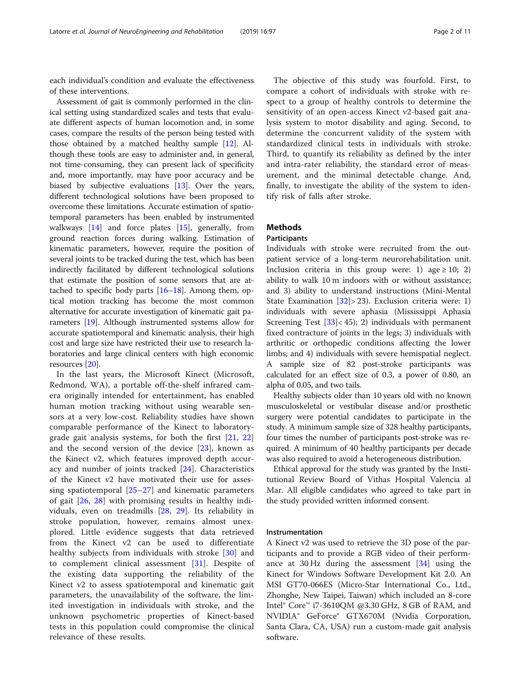each individual's condition and evaluate the effectiveness of these interventions.

Assessment of gait is commonly performed in the clinical setting using standardized scales and tests that evaluate different aspects of human locomotion and, in some cases, compare the results of the person being tested with those obtained by a matched healthy sample [[12](#page-9-0)]. Although these tools are easy to administer and, in general, not time-consuming, they can present lack of specificity and, more importantly, may have poor accuracy and be biased by subjective evaluations [\[13](#page-9-0)]. Over the years, different technological solutions have been proposed to overcome these limitations. Accurate estimation of spatiotemporal parameters has been enabled by instrumented walkways  $[14]$  and force plates  $[15]$  $[15]$  $[15]$ , generally, from ground reaction forces during walking. Estimation of kinematic parameters, however, require the position of several joints to be tracked during the test, which has been indirectly facilitated by different technological solutions that estimate the position of some sensors that are attached to specific body parts [\[16](#page-9-0)–[18](#page-9-0)]. Among them, optical motion tracking has become the most common alternative for accurate investigation of kinematic gait parameters [\[19\]](#page-9-0). Although instrumented systems allow for accurate spatiotemporal and kinematic analysis, their high cost and large size have restricted their use to research laboratories and large clinical centers with high economic resources [\[20\]](#page-9-0).

In the last years, the Microsoft Kinect (Microsoft, Redmond, WA), a portable off-the-shelf infrared camera originally intended for entertainment, has enabled human motion tracking without using wearable sensors at a very low-cost. Reliability studies have shown comparable performance of the Kinect to laboratorygrade gait analysis systems, for both the first [[21,](#page-9-0) [22](#page-9-0)] and the second version of the device [[23\]](#page-9-0), known as the Kinect v2, which features improved depth accuracy and number of joints tracked [[24](#page-9-0)]. Characteristics of the Kinect v2 have motivated their use for assessing spatiotemporal [[25](#page-9-0)–[27\]](#page-9-0) and kinematic parameters of gait [\[26](#page-9-0), [28\]](#page-9-0) with promising results in healthy individuals, even on treadmills [[28,](#page-9-0) [29](#page-9-0)]. Its reliability in stroke population, however, remains almost unexplored. Little evidence suggests that data retrieved from the Kinect v2 can be used to differentiate healthy subjects from individuals with stroke [[30\]](#page-9-0) and to complement clinical assessment [\[31](#page-9-0)]. Despite of the existing data supporting the reliability of the Kinect v2 to assess spatiotemporal and kinematic gait parameters, the unavailability of the software, the limited investigation in individuals with stroke, and the unknown psychometric properties of Kinect-based tests in this population could compromise the clinical relevance of these results.

The objective of this study was fourfold. First, to compare a cohort of individuals with stroke with respect to a group of healthy controls to determine the sensitivity of an open-access Kinect v2-based gait analysis system to motor disability and aging. Second, to determine the concurrent validity of the system with standardized clinical tests in individuals with stroke. Third, to quantify its reliability as defined by the inter and intra-rater reliability, the standard error of measurement, and the minimal detectable change. And, finally, to investigate the ability of the system to identify risk of falls after stroke.

# **Methods**

# Participants

Individuals with stroke were recruited from the outpatient service of a long-term neurorehabilitation unit. Inclusion criteria in this group were: 1) age  $\geq 10$ ; 2) ability to walk 10 m indoors with or without assistance; and 3) ability to understand instructions (Mini-Mental State Examination  $\left[32\right]$  $\left[32\right]$  $\left[32\right]$  > 23). Exclusion criteria were: 1) individuals with severe aphasia (Mississippi Aphasia Screening Test  $[33] < 45$  $[33] < 45$ ; 2) individuals with permanent fixed contracture of joints in the legs; 3) individuals with arthritic or orthopedic conditions affecting the lower limbs; and 4) individuals with severe hemispatial neglect. A sample size of 82 post-stroke participants was calculated for an effect size of 0.3, a power of 0.80, an alpha of 0.05, and two tails.

Healthy subjects older than 10 years old with no known musculoskeletal or vestibular disease and/or prosthetic surgery were potential candidates to participate in the study. A minimum sample size of 328 healthy participants, four times the number of participants post-stroke was required. A minimum of 40 healthy participants per decade was also required to avoid a heterogeneous distribution.

Ethical approval for the study was granted by the Institutional Review Board of Vithas Hospital Valencia al Mar. All eligible candidates who agreed to take part in the study provided written informed consent.

#### Instrumentation

A Kinect v2 was used to retrieve the 3D pose of the participants and to provide a RGB video of their performance at 30 Hz during the assessment [[34\]](#page-9-0) using the Kinect for Windows Software Development Kit 2.0. An MSI GT70-066ES (Micro-Star International Co., Ltd., Zhonghe, New Taipei, Taiwan) which included an 8-core Intel® Core™ i7-3610QM @3.30 GHz, 8 GB of RAM, and NVIDIA® GeForce® GTX670M (Nvidia Corporation, Santa Clara, CA, USA) run a custom-made gait analysis software.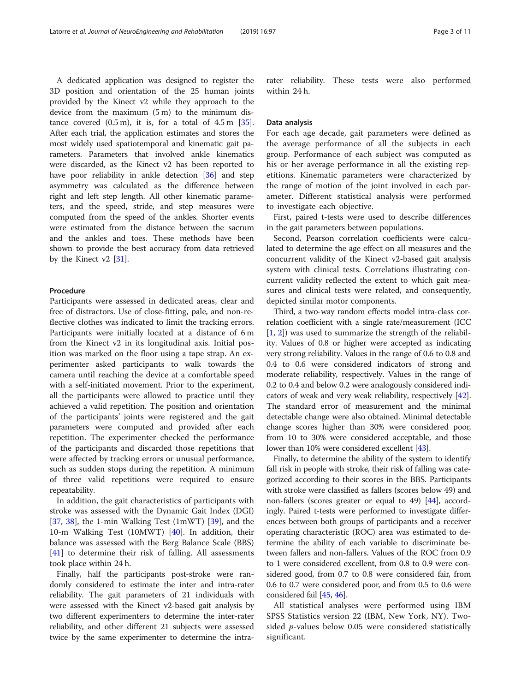A dedicated application was designed to register the 3D position and orientation of the 25 human joints provided by the Kinect v2 while they approach to the device from the maximum (5 m) to the minimum distance covered  $(0.5 \text{ m})$ , it is, for a total of  $4.5 \text{ m}$  [[35](#page-9-0)]. After each trial, the application estimates and stores the most widely used spatiotemporal and kinematic gait parameters. Parameters that involved ankle kinematics were discarded, as the Kinect v2 has been reported to have poor reliability in ankle detection [\[36\]](#page-9-0) and step asymmetry was calculated as the difference between right and left step length. All other kinematic parameters, and the speed, stride, and step measures were computed from the speed of the ankles. Shorter events were estimated from the distance between the sacrum and the ankles and toes. These methods have been shown to provide the best accuracy from data retrieved by the Kinect  $v2$  [[31](#page-9-0)].

# Procedure

Participants were assessed in dedicated areas, clear and free of distractors. Use of close-fitting, pale, and non-reflective clothes was indicated to limit the tracking errors. Participants were initially located at a distance of 6 m from the Kinect v2 in its longitudinal axis. Initial position was marked on the floor using a tape strap. An experimenter asked participants to walk towards the camera until reaching the device at a comfortable speed with a self-initiated movement. Prior to the experiment, all the participants were allowed to practice until they achieved a valid repetition. The position and orientation of the participants' joints were registered and the gait parameters were computed and provided after each repetition. The experimenter checked the performance of the participants and discarded those repetitions that were affected by tracking errors or unusual performance, such as sudden stops during the repetition. A minimum of three valid repetitions were required to ensure repeatability.

In addition, the gait characteristics of participants with stroke was assessed with the Dynamic Gait Index (DGI) [[37,](#page-9-0) [38](#page-9-0)], the 1-min Walking Test  $(1mWT)$  [\[39](#page-9-0)], and the 10-m Walking Test (10MWT) [\[40](#page-9-0)]. In addition, their balance was assessed with the Berg Balance Scale (BBS) [[41\]](#page-9-0) to determine their risk of falling. All assessments took place within 24 h.

Finally, half the participants post-stroke were randomly considered to estimate the inter and intra-rater reliability. The gait parameters of 21 individuals with were assessed with the Kinect v2-based gait analysis by two different experimenters to determine the inter-rater reliability, and other different 21 subjects were assessed twice by the same experimenter to determine the intra-

rater reliability. These tests were also performed within 24 h.

### Data analysis

For each age decade, gait parameters were defined as the average performance of all the subjects in each group. Performance of each subject was computed as his or her average performance in all the existing repetitions. Kinematic parameters were characterized by the range of motion of the joint involved in each parameter. Different statistical analysis were performed to investigate each objective.

First, paired t-tests were used to describe differences in the gait parameters between populations.

Second, Pearson correlation coefficients were calculated to determine the age effect on all measures and the concurrent validity of the Kinect v2-based gait analysis system with clinical tests. Correlations illustrating concurrent validity reflected the extent to which gait measures and clinical tests were related, and consequently, depicted similar motor components.

Third, a two-way random effects model intra-class correlation coefficient with a single rate/measurement (ICC [[1,](#page-9-0) [2\]](#page-9-0)) was used to summarize the strength of the reliability. Values of 0.8 or higher were accepted as indicating very strong reliability. Values in the range of 0.6 to 0.8 and 0.4 to 0.6 were considered indicators of strong and moderate reliability, respectively. Values in the range of 0.2 to 0.4 and below 0.2 were analogously considered indicators of weak and very weak reliability, respectively [[42](#page-9-0)]. The standard error of measurement and the minimal detectable change were also obtained. Minimal detectable change scores higher than 30% were considered poor, from 10 to 30% were considered acceptable, and those lower than 10% were considered excellent [[43](#page-9-0)].

Finally, to determine the ability of the system to identify fall risk in people with stroke, their risk of falling was categorized according to their scores in the BBS. Participants with stroke were classified as fallers (scores below 49) and non-fallers (scores greater or equal to 49) [\[44\]](#page-9-0), accordingly. Paired t-tests were performed to investigate differences between both groups of participants and a receiver operating characteristic (ROC) area was estimated to determine the ability of each variable to discriminate between fallers and non-fallers. Values of the ROC from 0.9 to 1 were considered excellent, from 0.8 to 0.9 were considered good, from 0.7 to 0.8 were considered fair, from 0.6 to 0.7 were considered poor, and from 0.5 to 0.6 were considered fail [\[45](#page-9-0), [46](#page-9-0)].

All statistical analyses were performed using IBM SPSS Statistics version 22 (IBM, New York, NY). Twosided p-values below 0.05 were considered statistically significant.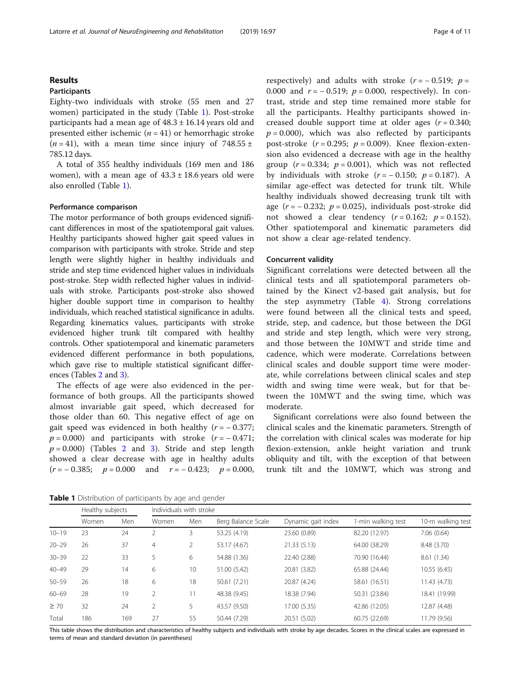# Results

# Participants

Eighty-two individuals with stroke (55 men and 27 women) participated in the study (Table 1). Post-stroke participants had a mean age of  $48.3 \pm 16.14$  years old and presented either ischemic  $(n = 41)$  or hemorrhagic stroke  $(n = 41)$ , with a mean time since injury of 748.55 ± 785.12 days.

A total of 355 healthy individuals (169 men and 186 women), with a mean age of  $43.3 \pm 18.6$  years old were also enrolled (Table 1).

### Performance comparison

The motor performance of both groups evidenced significant differences in most of the spatiotemporal gait values. Healthy participants showed higher gait speed values in comparison with participants with stroke. Stride and step length were slightly higher in healthy individuals and stride and step time evidenced higher values in individuals post-stroke. Step width reflected higher values in individuals with stroke. Participants post-stroke also showed higher double support time in comparison to healthy individuals, which reached statistical significance in adults. Regarding kinematics values, participants with stroke evidenced higher trunk tilt compared with healthy controls. Other spatiotemporal and kinematic parameters evidenced different performance in both populations, which gave rise to multiple statistical significant differences (Tables [2](#page-4-0) and [3](#page-5-0)).

The effects of age were also evidenced in the performance of both groups. All the participants showed almost invariable gait speed, which decreased for those older than 60. This negative effect of age on gait speed was evidenced in both healthy  $(r = -0.377)$ ;  $p = 0.000$ ) and participants with stroke  $(r = -0.471)$ ;  $p = 0.000$ ) (Tables [2](#page-4-0) and [3](#page-5-0)). Stride and step length showed a clear decrease with age in healthy adults  $(r = -0.385; \quad p = 0.000 \quad \text{and} \quad r = -0.423; \quad p = 0.000,$  respectively) and adults with stroke  $(r = -0.519; p =$ 0.000 and  $r = -0.519$ ;  $p = 0.000$ , respectively). In contrast, stride and step time remained more stable for all the participants. Healthy participants showed increased double support time at older ages  $(r = 0.340;$  $p = 0.000$ ), which was also reflected by participants post-stroke  $(r = 0.295; p = 0.009)$ . Knee flexion-extension also evidenced a decrease with age in the healthy group  $(r = 0.334; p = 0.001)$ , which was not reflected by individuals with stroke  $(r = -0.150; p = 0.187)$ . A similar age-effect was detected for trunk tilt. While healthy individuals showed decreasing trunk tilt with age  $(r = -0.232; p = 0.025)$ , individuals post-stroke did not showed a clear tendency  $(r = 0.162; p = 0.152)$ . Other spatiotemporal and kinematic parameters did not show a clear age-related tendency.

#### Concurrent validity

Significant correlations were detected between all the clinical tests and all spatiotemporal parameters obtained by the Kinect v2-based gait analysis, but for the step asymmetry (Table [4](#page-6-0)). Strong correlations were found between all the clinical tests and speed, stride, step, and cadence, but those between the DGI and stride and step length, which were very strong, and those between the 10MWT and stride time and cadence, which were moderate. Correlations between clinical scales and double support time were moderate, while correlations between clinical scales and step width and swing time were weak, but for that between the 10MWT and the swing time, which was moderate.

Significant correlations were also found between the clinical scales and the kinematic parameters. Strength of the correlation with clinical scales was moderate for hip flexion-extension, ankle height variation and trunk obliquity and tilt, with the exception of that between trunk tilt and the 10MWT, which was strong and

Table 1 Distribution of participants by age and gender

|           | Healthy subjects |     | Individuals with stroke |                |                    |                    |                    |                   |  |
|-----------|------------------|-----|-------------------------|----------------|--------------------|--------------------|--------------------|-------------------|--|
|           | Women            | Men | Women                   | Men            | Berg Balance Scale | Dynamic gait index | 1-min walking test | 10-m walking test |  |
| $10 - 19$ | 23               | 24  |                         | 3              | 53.25 (4.19)       | 23.60 (0.89)       | 82.20 (12.97)      | 7.06(0.64)        |  |
| $20 - 29$ | 26               | 37  | $\overline{4}$          | $\overline{2}$ | 53.17 (4.67)       | 21.33(5.13)        | 64.00 (38.29)      | 8.48 (3.70)       |  |
| $30 - 39$ | 22               | 33  | 5                       | 6              | 54.88 (1.36)       | 22.40 (2.88)       | 70.90 (16.44)      | 8.61 (1.34)       |  |
| $40 - 49$ | 29               | 14  | 6                       | 10             | 51.00 (5.42)       | 20.81 (3.82)       | 65.88 (24.44)      | 10.55(6.45)       |  |
| $50 - 59$ | 26               | 18  | 6                       | 18             | 50.61 (7.21)       | 20.87 (4.24)       | 58.61 (16.51)      | 11.43(4.73)       |  |
| $60 - 69$ | 28               | 19  | $\overline{2}$          | 11             | 48.38 (9.45)       | 18.38 (7.94)       | 50.31 (23.84)      | 18.41 (19.99)     |  |
| $\geq 70$ | 32               | 24  | 2                       | 5              | 43.57 (9.50)       | 17.00 (5.35)       | 42.86 (12.05)      | 12.87 (4.48)      |  |
| Total     | 186              | 169 | 27                      | 55             | 50.44 (7.29)       | 20.51 (5.02)       | 60.75 (22.69)      | 11.79 (9.56)      |  |

This table shows the distribution and characteristics of healthy subjects and individuals with stroke by age decades. Scores in the clinical scales are expressed in terms of mean and standard deviation (in parentheses)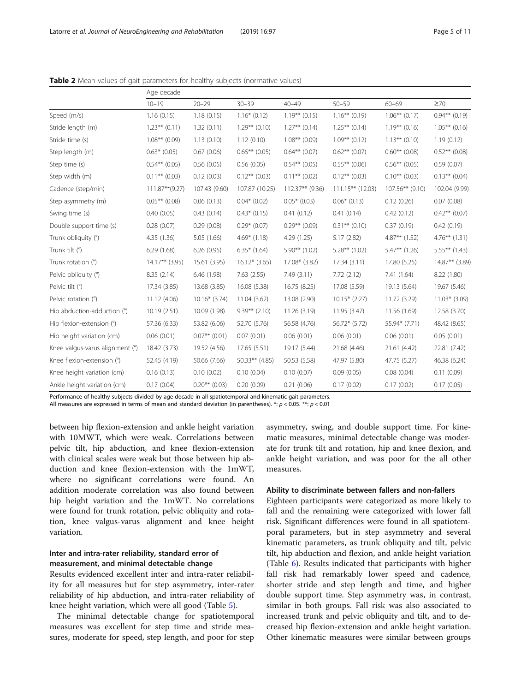|  | Page 5 of 11 |  |  |  |  |
|--|--------------|--|--|--|--|
|--|--------------|--|--|--|--|

|                                 | Age decade        |                 |                   |                  |                     |                  |                  |
|---------------------------------|-------------------|-----------------|-------------------|------------------|---------------------|------------------|------------------|
|                                 | $10 - 19$         | $20 - 29$       | $30 - 39$         | $40 - 49$        | $50 - 59$           | $60 - 69$        | $\geq 70$        |
| Speed (m/s)                     | 1.16(0.15)        | 1.18(0.15)      | $1.16*(0.12)$     | $1.19***$ (0.15) | $1.16***$ (0.19)    | $1.06***$ (0.17) | $0.94***$ (0.19) |
| Stride length (m)               | $1.23***$ (0.11)  | 1.32(0.11)      | $1.29**$ (0.10)   | $1.27**$ (0.14)  | $1.25***$ (0.14)    | $1.19***$ (0.16) | $1.05***$ (0.16) |
| Stride time (s)                 | $1.08***$ (0.09)  | 1.13(0.10)      | 1.12(0.10)        | $1.08***$ (0.09) | $1.09***$ (0.12)    | $1.13***$ (0.10) | 1.19(0.12)       |
| Step length (m)                 | $0.63*$ (0.05)    | 0.67(0.06)      | $0.65***$ (0.05)  | $0.64***$ (0.07) | $0.62**$ (0.07)     | $0.60**$ (0.08)  | $0.52**$ (0.08)  |
| Step time (s)                   | $0.54***$ (0.05)  | 0.56(0.05)      | 0.56(0.05)        | $0.54***$ (0.05) | $0.55***$ (0.06)    | $0.56***$ (0.05) | 0.59(0.07)       |
| Step width (m)                  | $0.11***$ (0.03)  | 0.12(0.03)      | $0.12***$ (0.03)  | $0.11***$ (0.02) | $0.12***$ (0.03)    | $0.10***$ (0.03) | $0.13***$ (0.04) |
| Cadence (step/min)              | $111.87**$ (9.27) | 107.43 (9.60)   | 107.87 (10.25)    | 112.37** (9.36)  | $111.15***$ (12.03) | 107.56** (9.10)  | 102.04 (9.99)    |
| Step asymmetry (m)              | $0.05***$ (0.08)  | 0.06(0.13)      | $0.04*$ (0.02)    | $0.05*$ (0.03)   | $0.06*(0.13)$       | 0.12(0.26)       | 0.07(0.08)       |
| Swing time (s)                  | 0.40(0.05)        | 0.43(0.14)      | $0.43*$ (0.15)    | 0.41(0.12)       | 0.41(0.14)          | 0.42(0.12)       | $0.42**$ (0.07)  |
| Double support time (s)         | 0.28(0.07)        | 0.29(0.08)      | $0.29*(0.07)$     | $0.29**$ (0.09)  | $0.31***$ (0.10)    | 0.37(0.19)       | 0.42(0.19)       |
| Trunk obliquity (°)             | 4.35(1.36)        | 5.05 (1.66)     | $4.69*$ (1.18)    | 4.29(1.25)       | 5.17(2.82)          | $4.87**$ (1.52)  | $4.76**$ (1.31)  |
| Trunk tilt (°)                  | 6.29(1.68)        | 6.26(0.95)      | $6.35*$ (1.64)    | $5.90**$ (1.02)  | $5.28**$ (1.02)     | $5.47**$ (1.26)  | $5.55***$ (1.43) |
| Trunk rotation (°)              | $14.17***$ (3.95) | 15.61 (3.95)    | $16.12*$ (3.65)   | 17.08* (3.82)    | 17.34 (3.11)        | 17.80 (5.25)     | 14.87** (3.89)   |
| Pelvic obliquity (°)            | 8.35 (2.14)       | 6.46(1.98)      | 7.63(2.55)        | 7.49(3.11)       | 7.72(2.12)          | 7.41(1.64)       | 8.22 (1.80)      |
| Pelvic tilt (°)                 | 17.34 (3.85)      | 13.68 (3.85)    | 16.08 (5.38)      | 16.75 (8.25)     | 17.08 (5.59)        | 19.13 (5.64)     | 19.67 (5.46)     |
| Pelvic rotation (°)             | 11.12 (4.06)      | $10.16*$ (3.74) | 11.04 (3.62)      | 13.08 (2.90)     | $10.15*(2.27)$      | 11.72 (3.29)     | $11.03*$ (3.09)  |
| Hip abduction-adduction (°)     | 10.19 (2.51)      | 10.09 (1.98)    | $9.39***$ (2.10)  | 11.26 (3.19)     | 11.95 (3.47)        | 11.56 (1.69)     | 12.58 (3.70)     |
| Hip flexion-extension (°)       | 57.36 (6.33)      | 53.82 (6.06)    | 52.70 (5.76)      | 56.58 (4.76)     | 56.72* (5.72)       | 55.94* (7.71)    | 48.42 (8.65)     |
| Hip height variation (cm)       | 0.06(0.01)        | $0.07**$ (0.01) | 0.07(0.01)        | 0.06(0.01)       | 0.06(0.01)          | 0.06(0.01)       | 0.05(0.01)       |
| Knee valgus-varus alignment (°) | 18.42 (3.73)      | 19.52 (4.56)    | 17.65 (5.51)      | 19.17 (5.44)     | 21.68 (4.46)        | 21.61 (4.42)     | 22.81 (7.42)     |
| Knee flexion-extension (°)      | 52.45 (4.19)      | 50.66 (7.66)    | $50.33***$ (4.85) | 50.53 (5.58)     | 47.97 (5.80)        | 47.75 (5.27)     | 46.38 (6.24)     |
| Knee height variation (cm)      | 0.16(0.13)        | 0.10(0.02)      | 0.10(0.04)        | 0.10(0.07)       | 0.09(0.05)          | 0.08(0.04)       | 0.11(0.09)       |
| Ankle height variation (cm)     | 0.17(0.04)        | $0.20**$ (0.03) | 0.20(0.09)        | 0.21(0.06)       | 0.17(0.02)          | 0.17(0.02)       | 0.17(0.05)       |

<span id="page-4-0"></span>Table 2 Mean values of gait parameters for healthy subjects (normative values)

Performance of healthy subjects divided by age decade in all spatiotemporal and kinematic gait parameters.

All measures are expressed in terms of mean and standard deviation (in parentheses).  $*: p < 0.05$ .  $**: p < 0.01$ 

between hip flexion-extension and ankle height variation with 10MWT, which were weak. Correlations between pelvic tilt, hip abduction, and knee flexion-extension with clinical scales were weak but those between hip abduction and knee flexion-extension with the 1mWT, where no significant correlations were found. An addition moderate correlation was also found between hip height variation and the 1mWT. No correlations were found for trunk rotation, pelvic obliquity and rotation, knee valgus-varus alignment and knee height variation.

# Inter and intra-rater reliability, standard error of measurement, and minimal detectable change

Results evidenced excellent inter and intra-rater reliability for all measures but for step asymmetry, inter-rater reliability of hip abduction, and intra-rater reliability of knee height variation, which were all good (Table [5](#page-7-0)).

The minimal detectable change for spatiotemporal measures was excellent for step time and stride measures, moderate for speed, step length, and poor for step asymmetry, swing, and double support time. For kinematic measures, minimal detectable change was moderate for trunk tilt and rotation, hip and knee flexion, and ankle height variation, and was poor for the all other measures.

# Ability to discriminate between fallers and non-fallers

Eighteen participants were categorized as more likely to fall and the remaining were categorized with lower fall risk. Significant differences were found in all spatiotemporal parameters, but in step asymmetry and several kinematic parameters, as trunk obliquity and tilt, pelvic tilt, hip abduction and flexion, and ankle height variation (Table [6](#page-8-0)). Results indicated that participants with higher fall risk had remarkably lower speed and cadence, shorter stride and step length and time, and higher double support time. Step asymmetry was, in contrast, similar in both groups. Fall risk was also associated to increased trunk and pelvic obliquity and tilt, and to decreased hip flexion-extension and ankle height variation. Other kinematic measures were similar between groups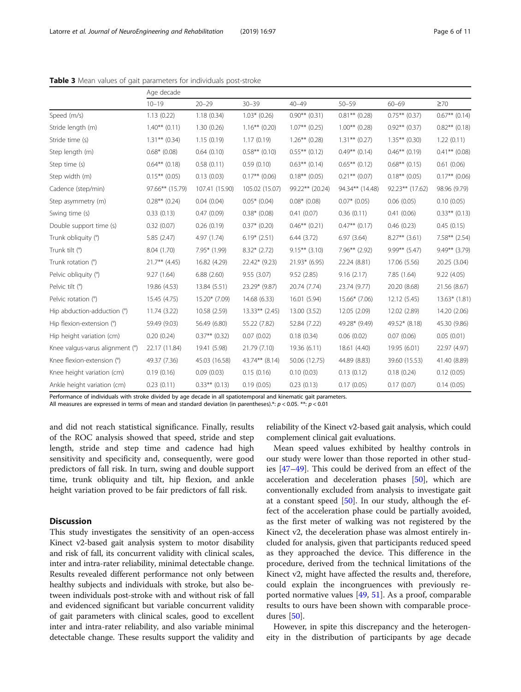|                                 | Age decade       |                  |                  |                  |                  |                  |                    |
|---------------------------------|------------------|------------------|------------------|------------------|------------------|------------------|--------------------|
|                                 | $10 - 19$        | $20 - 29$        | $30 - 39$        | $40 - 49$        | $50 - 59$        | $60 - 69$        | $\geq 70$          |
| Speed (m/s)                     | 1.13(0.22)       | 1.18(0.34)       | $1.03*$ (0.26)   | $0.90**$ (0.31)  | $0.81***$ (0.28) | $0.75***$ (0.37) | $0.67**$ (0.14)    |
| Stride length (m)               | $1.40***$ (0.11) | 1.30(0.26)       | $1.16***$ (0.20) | $1.07***$ (0.25) | $1.00***$ (0.28) | $0.92**$ (0.37)  | $0.82**$ (0.18)    |
| Stride time (s)                 | $1.31***$ (0.34) | 1.15(0.19)       | 1.17(0.19)       | $1.26***$ (0.28) | $1.31***$ (0.27) | $1.35***$ (0.30) | 1.22(0.11)         |
| Step length (m)                 | $0.68*$ (0.08)   | 0.64(0.10)       | $0.58***$ (0.10) | $0.55***$ (0.12) | $0.49**$ (0.14)  | $0.46**$ (0.19)  | $0.41***$ (0.08)   |
| Step time (s)                   | $0.64***$ (0.18) | 0.58(0.11)       | 0.59(0.10)       | $0.63***$ (0.14) | $0.65***$ (0.12) | $0.68**$ (0.15)  | 0.61(0.06)         |
| Step width (m)                  | $0.15***$ (0.05) | 0.13(0.03)       | $0.17***$ (0.06) | $0.18***$ (0.05) | $0.21***$ (0.07) | $0.18***$ (0.05) | $0.17***$ (0.06)   |
| Cadence (step/min)              | 97.66** (15.79)  | 107.41 (15.90)   | 105.02 (15.07)   | 99.22** (20.24)  | 94.34** (14.48)  | 92.23** (17.62)  | 98.96 (9.79)       |
| Step asymmetry (m)              | $0.28**$ (0.24)  | 0.04(0.04)       | $0.05*$ (0.04)   | $0.08*$ (0.08)   | $0.07*$ (0.05)   | 0.06(0.05)       | 0.10(0.05)         |
| Swing time (s)                  | 0.33(0.13)       | 0.47(0.09)       | $0.38*$ (0.08)   | 0.41(0.07)       | 0.36(0.11)       | 0.41(0.06)       | $0.33***$ $(0.13)$ |
| Double support time (s)         | 0.32(0.07)       | 0.26(0.19)       | $0.37*$ (0.20)   | $0.46**$ (0.21)  | $0.47**$ (0.17)  | 0.46(0.23)       | 0.45(0.15)         |
| Trunk obliquity (°)             | 5.85(2.47)       | 4.97 (1.74)      | $6.19*(2.51)$    | 6.44(3.72)       | 6.97(3.64)       | $8.27**$ (3.61)  | $7.58**$ (2.54)    |
| Trunk tilt (°)                  | 8.04 (1.70)      | 7.95* (1.99)     | $8.32*(2.72)$    | $9.15***$ (3.10) | $7.96**$ (2.92)  | $9.99**$ (5.47)  | $9.49**$ (3.79)    |
| Trunk rotation (°)              | $21.7***$ (4.45) | 16.82 (4.29)     | 22.42* (9.23)    | $21.93*$ (6.95)  | 22.24 (8.81)     | 17.06 (5.56)     | 20.25 (3.04)       |
| Pelvic obliquity (°)            | 9.27(1.64)       | 6.88(2.60)       | 9.55(3.07)       | 9.52(2.85)       | 9.16(2.17)       | 7.85 (1.64)      | 9.22(4.05)         |
| Pelvic tilt (°)                 | 19.86 (4.53)     | 13.84 (5.51)     | 23.29* (9.87)    | 20.74 (7.74)     | 23.74 (9.77)     | 20.20 (8.68)     | 21.56 (8.67)       |
| Pelvic rotation (°)             | 15.45 (4.75)     | 15.20* (7.09)    | 14.68 (6.33)     | 16.01 (5.94)     | 15.66* (7.06)    | 12.12 (5.45)     | $13.63*$ (1.81)    |
| Hip abduction-adduction (°)     | 11.74 (3.22)     | 10.58 (2.59)     | $13.33**$ (2.45) | 13.00 (3.52)     | 12.05 (2.09)     | 12.02 (2.89)     | 14.20 (2.06)       |
| Hip flexion-extension (°)       | 59.49 (9.03)     | 56.49 (6.80)     | 55.22 (7.82)     | 52.84 (7.22)     | 49.28* (9.49)    | 49.52* (8.18)    | 45.30 (9.86)       |
| Hip height variation (cm)       | 0.20(0.24)       | $0.37**$ (0.32)  | 0.07(0.02)       | 0.18(0.34)       | 0.06(0.02)       | 0.07(0.06)       | 0.05(0.01)         |
| Knee valgus-varus alignment (°) | 22.17 (11.84)    | 19.41 (5.98)     | 21.79 (7.10)     | 19.36 (6.11)     | 18.61 (4.40)     | 19.95 (6.01)     | 22.97 (4.97)       |
| Knee flexion-extension (°)      | 49.37 (7.36)     | 45.03 (16.58)    | 43.74** (8.14)   | 50.06 (12.75)    | 44.89 (8.83)     | 39.60 (15.53)    | 41.40 (8.89)       |
| Knee height variation (cm)      | 0.19(0.16)       | 0.09(0.03)       | 0.15(0.16)       | 0.10(0.03)       | 0.13(0.12)       | 0.18(0.24)       | 0.12(0.05)         |
| Ankle height variation (cm)     | 0.23(0.11)       | $0.33***$ (0.13) | 0.19(0.05)       | 0.23(0.13)       | 0.17(0.05)       | 0.17(0.07)       | 0.14(0.05)         |

<span id="page-5-0"></span>Table 3 Mean values of gait parameters for individuals post-stroke

Performance of individuals with stroke divided by age decade in all spatiotemporal and kinematic gait parameters.

All measures are expressed in terms of mean and standard deviation (in parentheses).\*:  $p < 0.05$ .\*\*:  $p < 0.01$ 

and did not reach statistical significance. Finally, results of the ROC analysis showed that speed, stride and step length, stride and step time and cadence had high sensitivity and specificity and, consequently, were good predictors of fall risk. In turn, swing and double support time, trunk obliquity and tilt, hip flexion, and ankle height variation proved to be fair predictors of fall risk.

# **Discussion**

This study investigates the sensitivity of an open-access Kinect v2-based gait analysis system to motor disability and risk of fall, its concurrent validity with clinical scales, inter and intra-rater reliability, minimal detectable change. Results revealed different performance not only between healthy subjects and individuals with stroke, but also between individuals post-stroke with and without risk of fall and evidenced significant but variable concurrent validity of gait parameters with clinical scales, good to excellent inter and intra-rater reliability, and also variable minimal detectable change. These results support the validity and

reliability of the Kinect v2-based gait analysis, which could complement clinical gait evaluations.

Mean speed values exhibited by healthy controls in our study were lower than those reported in other studies [\[47](#page-9-0)–[49\]](#page-9-0). This could be derived from an effect of the acceleration and deceleration phases [[50\]](#page-9-0), which are conventionally excluded from analysis to investigate gait at a constant speed  $[50]$  $[50]$  $[50]$ . In our study, although the effect of the acceleration phase could be partially avoided, as the first meter of walking was not registered by the Kinect v2, the deceleration phase was almost entirely included for analysis, given that participants reduced speed as they approached the device. This difference in the procedure, derived from the technical limitations of the Kinect v2, might have affected the results and, therefore, could explain the incongruences with previously reported normative values [[49,](#page-9-0) [51\]](#page-9-0). As a proof, comparable results to ours have been shown with comparable procedures [\[50](#page-9-0)].

However, in spite this discrepancy and the heterogeneity in the distribution of participants by age decade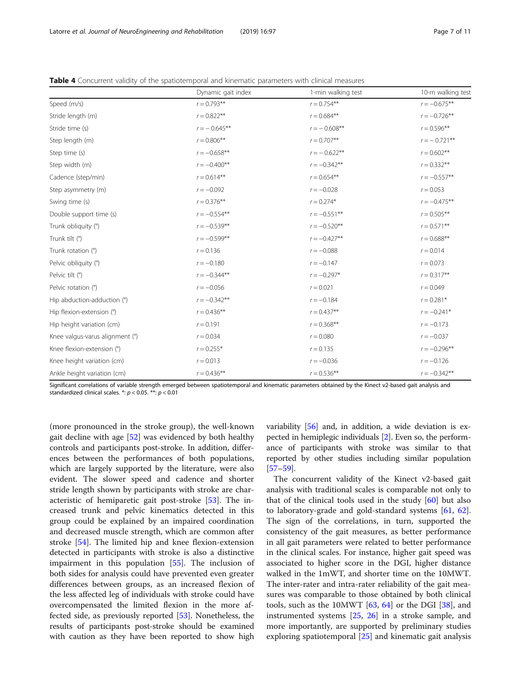|                                 | Dynamic gait index | 1-min walking test | 10-m walking test |
|---------------------------------|--------------------|--------------------|-------------------|
| Speed (m/s)                     | $r = 0.793**$      | $r = 0.754***$     | $r = -0.675**$    |
| Stride length (m)               | $r = 0.822**$      | $r = 0.684***$     | $r = -0.726**$    |
| Stride time (s)                 | $r = -0.645***$    | $r = -0.608**$     | $r = 0.596***$    |
| Step length (m)                 | $r = 0.806**$      | $r = 0.707**$      | $r = -0.721**$    |
| Step time (s)                   | $r = -0.658**$     | $r = -0.622**$     | $r = 0.602**$     |
| Step width (m)                  | $r = -0.400**$     | $r = -0.342**$     | $r = 0.332**$     |
| Cadence (step/min)              | $r = 0.614**$      | $r = 0.654***$     | $r = -0.557**$    |
| Step asymmetry (m)              | $r = -0.092$       | $r = -0.028$       | $r = 0.053$       |
| Swing time (s)                  | $r = 0.376***$     | $r = 0.274*$       | $r = -0.475**$    |
| Double support time (s)         | $r = -0.554**$     | $r = -0.551$ **    | $r = 0.505***$    |
| Trunk obliquity (°)             | $r = -0.539**$     | $r = -0.520**$     | $r = 0.571***$    |
| Trunk tilt (°)                  | $r = -0.599**$     | $r = -0.427**$     | $r = 0.688**$     |
| Trunk rotation (°)              | $r = 0.136$        | $r = -0.088$       | $r = 0.014$       |
| Pelvic obliquity (°)            | $r = -0.180$       | $r = -0.147$       | $r = 0.073$       |
| Pelvic tilt (°)                 | $r = -0.344**$     | $r = -0.297*$      | $r = 0.317**$     |
| Pelvic rotation (°)             | $r = -0.056$       | $r = 0.021$        | $r = 0.049$       |
| Hip abduction-adduction (°)     | $r = -0.342**$     | $r = -0.184$       | $r = 0.281*$      |
| Hip flexion-extension (°)       | $r = 0.436**$      | $r = 0.437**$      | $r = -0.241*$     |
| Hip height variation (cm)       | $r = 0.191$        | $r = 0.368**$      | $r = -0.173$      |
| Knee valgus-varus alignment (°) | $r = 0.034$        | $r = 0.080$        | $r = -0.037$      |
| Knee flexion-extension (°)      | $r = 0.255*$       | $r = 0.135$        | $r = -0.296**$    |
| Knee height variation (cm)      | $r = 0.013$        | $r = -0.036$       | $r = -0.126$      |
| Ankle height variation (cm)     | $r = 0.436***$     | $r = 0.536**$      | $r = -0.342**$    |

<span id="page-6-0"></span>Table 4 Concurrent validity of the spatiotemporal and kinematic parameters with clinical measures

Significant correlations of variable strength emerged between spatiotemporal and kinematic parameters obtained by the Kinect v2-based gait analysis and standardized clinical scales. \*:  $p < 0.05$ . \*\*:  $p < 0.01$ 

(more pronounced in the stroke group), the well-known gait decline with age [[52\]](#page-9-0) was evidenced by both healthy controls and participants post-stroke. In addition, differences between the performances of both populations, which are largely supported by the literature, were also evident. The slower speed and cadence and shorter stride length shown by participants with stroke are characteristic of hemiparetic gait post-stroke [[53\]](#page-9-0). The increased trunk and pelvic kinematics detected in this group could be explained by an impaired coordination and decreased muscle strength, which are common after stroke [[54\]](#page-10-0). The limited hip and knee flexion-extension detected in participants with stroke is also a distinctive impairment in this population [\[55\]](#page-10-0). The inclusion of both sides for analysis could have prevented even greater differences between groups, as an increased flexion of the less affected leg of individuals with stroke could have overcompensated the limited flexion in the more affected side, as previously reported [[53\]](#page-9-0). Nonetheless, the results of participants post-stroke should be examined with caution as they have been reported to show high variability [\[56\]](#page-10-0) and, in addition, a wide deviation is expected in hemiplegic individuals [\[2\]](#page-9-0). Even so, the performance of participants with stroke was similar to that reported by other studies including similar population [[57](#page-10-0)–[59\]](#page-10-0).

The concurrent validity of the Kinect v2-based gait analysis with traditional scales is comparable not only to that of the clinical tools used in the study  $[60]$  $[60]$  $[60]$  but also to laboratory-grade and gold-standard systems [\[61](#page-10-0), [62](#page-10-0)]. The sign of the correlations, in turn, supported the consistency of the gait measures, as better performance in all gait parameters were related to better performance in the clinical scales. For instance, higher gait speed was associated to higher score in the DGI, higher distance walked in the 1mWT, and shorter time on the 10MWT. The inter-rater and intra-rater reliability of the gait measures was comparable to those obtained by both clinical tools, such as the 10MWT  $[63, 64]$  $[63, 64]$  $[63, 64]$  $[63, 64]$  or the DGI  $[38]$ , and instrumented systems [\[25,](#page-9-0) [26\]](#page-9-0) in a stroke sample, and more importantly, are supported by preliminary studies exploring spatiotemporal [[25\]](#page-9-0) and kinematic gait analysis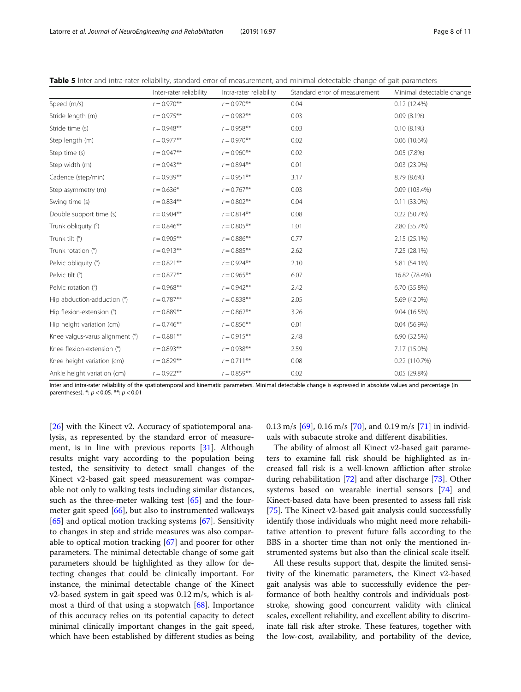|                                 | Inter-rater reliability | Intra-rater reliability | Standard error of measurement | Minimal detectable change |
|---------------------------------|-------------------------|-------------------------|-------------------------------|---------------------------|
| Speed (m/s)                     | $r = 0.970**$           | $r = 0.970**$           | 0.04                          | 0.12(12.4%)               |
| Stride length (m)               | $r = 0.975***$          | $r = 0.982**$           | 0.03                          | $0.09(8.1\%)$             |
| Stride time (s)                 | $r = 0.948**$           | $r = 0.958**$           | 0.03                          | $0.10(8.1\%)$             |
| Step length (m)                 | $r = 0.977**$           | $r = 0.970**$           | 0.02                          | $0.06(10.6\%)$            |
| Step time (s)                   | $r = 0.947**$           | $r = 0.960$ **          | 0.02                          | 0.05(7.8%)                |
| Step width (m)                  | $r = 0.943**$           | $r = 0.894**$           | 0.01                          | 0.03(23.9%)               |
| Cadence (step/min)              | $r = 0.939**$           | $r = 0.951**$           | 3.17                          | 8.79 (8.6%)               |
| Step asymmetry (m)              | $r = 0.636*$            | $r = 0.767**$           | 0.03                          | 0.09 (103.4%)             |
| Swing time (s)                  | $r = 0.834***$          | $r = 0.802$ **          | 0.04                          | $0.11(33.0\%)$            |
| Double support time (s)         | $r = 0.904$ **          | $r = 0.814***$          | 0.08                          | 0.22(50.7%)               |
| Trunk obliquity (°)             | $r = 0.846**$           | $r = 0.805**$           | 1.01                          | 2.80 (35.7%)              |
| Trunk tilt (°)                  | $r = 0.905***$          | $r = 0.886$ **          | 0.77                          | 2.15 (25.1%)              |
| Trunk rotation (°)              | $r = 0.913***$          | $r = 0.885**$           | 2.62                          | 7.25 (28.1%)              |
| Pelvic obliquity (°)            | $r = 0.821$ **          | $r = 0.924**$           | 2.10                          | 5.81 (54.1%)              |
| Pelvic tilt (°)                 | $r = 0.877**$           | $r = 0.965**$           | 6.07                          | 16.82 (78.4%)             |
| Pelvic rotation (°)             | $r = 0.968**$           | $r = 0.942**$           | 2.42                          | 6.70 (35.8%)              |
| Hip abduction-adduction (°)     | $r = 0.787**$           | $r = 0.838**$           | 2.05                          | 5.69 (42.0%)              |
| Hip flexion-extension (°)       | $r = 0.889**$           | $r = 0.862$ **          | 3.26                          | 9.04 (16.5%)              |
| Hip height variation (cm)       | $r = 0.746**$           | $r = 0.856$ **          | 0.01                          | $0.04(56.9\%)$            |
| Knee valgus-varus alignment (°) | $r = 0.881**$           | $r = 0.915***$          | 2.48                          | 6.90 (32.5%)              |
| Knee flexion-extension (°)      | $r = 0.893**$           | $r = 0.938**$           | 2.59                          | 7.17 (15.0%)              |
| Knee height variation (cm)      | $r = 0.829**$           | $r = 0.711***$          | 0.08                          | 0.22 (110.7%)             |
| Ankle height variation (cm)     | $r = 0.922$ **          | $r = 0.859**$           | 0.02                          | 0.05(29.8%)               |

<span id="page-7-0"></span>Table 5 Inter and intra-rater reliability, standard error of measurement, and minimal detectable change of gait parameters

Inter and intra-rater reliability of the spatiotemporal and kinematic parameters. Minimal detectable change is expressed in absolute values and percentage (in parentheses). \*: p < 0.05. \*\*: p < 0.01

[[26\]](#page-9-0) with the Kinect v2. Accuracy of spatiotemporal analysis, as represented by the standard error of measurement, is in line with previous reports [[31](#page-9-0)]. Although results might vary according to the population being tested, the sensitivity to detect small changes of the Kinect v2-based gait speed measurement was comparable not only to walking tests including similar distances, such as the three-meter walking test [[65](#page-10-0)] and the fourmeter gait speed [\[66](#page-10-0)], but also to instrumented walkways [[65\]](#page-10-0) and optical motion tracking systems [[67\]](#page-10-0). Sensitivity to changes in step and stride measures was also comparable to optical motion tracking [[67\]](#page-10-0) and poorer for other parameters. The minimal detectable change of some gait parameters should be highlighted as they allow for detecting changes that could be clinically important. For instance, the minimal detectable change of the Kinect v2-based system in gait speed was 0.12 m/s, which is almost a third of that using a stopwatch [[68](#page-10-0)]. Importance of this accuracy relies on its potential capacity to detect minimal clinically important changes in the gait speed, which have been established by different studies as being 0.13 m/s [\[69](#page-10-0)], 0.16 m/s [[70\]](#page-10-0), and 0.19 m/s [\[71](#page-10-0)] in individuals with subacute stroke and different disabilities.

The ability of almost all Kinect v2-based gait parameters to examine fall risk should be highlighted as increased fall risk is a well-known affliction after stroke during rehabilitation [\[72](#page-10-0)] and after discharge [\[73\]](#page-10-0). Other systems based on wearable inertial sensors [\[74](#page-10-0)] and Kinect-based data have been presented to assess fall risk [[75\]](#page-10-0). The Kinect v2-based gait analysis could successfully identify those individuals who might need more rehabilitative attention to prevent future falls according to the BBS in a shorter time than not only the mentioned instrumented systems but also than the clinical scale itself.

All these results support that, despite the limited sensitivity of the kinematic parameters, the Kinect v2-based gait analysis was able to successfully evidence the performance of both healthy controls and individuals poststroke, showing good concurrent validity with clinical scales, excellent reliability, and excellent ability to discriminate fall risk after stroke. These features, together with the low-cost, availability, and portability of the device,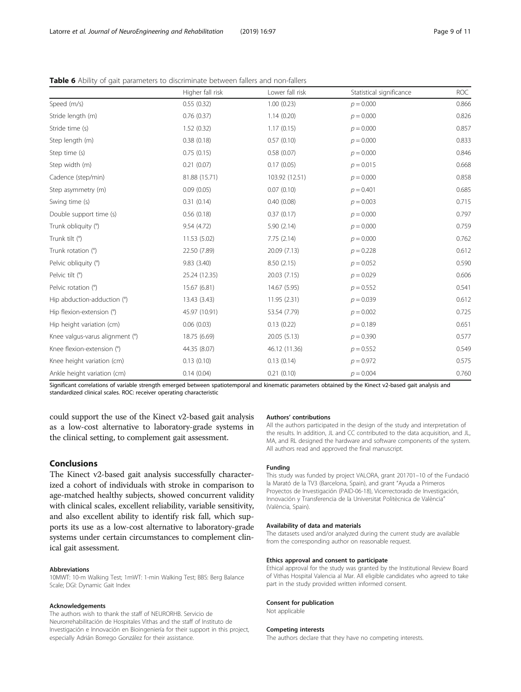<span id="page-8-0"></span>

|                                 | Higher fall risk | Lower fall risk | Statistical significance | <b>ROC</b> |
|---------------------------------|------------------|-----------------|--------------------------|------------|
| Speed (m/s)                     | 0.55(0.32)       | 1.00(0.23)      | $p = 0.000$              | 0.866      |
| Stride length (m)               | 0.76(0.37)       | 1.14(0.20)      | $p = 0.000$              | 0.826      |
| Stride time (s)                 | 1.52(0.32)       | 1.17(0.15)      | $p = 0.000$              | 0.857      |
| Step length (m)                 | 0.38(0.18)       | 0.57(0.10)      | $p = 0.000$              | 0.833      |
| Step time (s)                   | 0.75(0.15)       | 0.58(0.07)      | $p = 0.000$              | 0.846      |
| Step width (m)                  | 0.21(0.07)       | 0.17(0.05)      | $p = 0.015$              | 0.668      |
| Cadence (step/min)              | 81.88 (15.71)    | 103.92 (12.51)  | $p = 0.000$              | 0.858      |
| Step asymmetry (m)              | 0.09(0.05)       | 0.07(0.10)      | $p = 0.401$              | 0.685      |
| Swing time (s)                  | 0.31(0.14)       | 0.40(0.08)      | $p = 0.003$              | 0.715      |
| Double support time (s)         | 0.56(0.18)       | 0.37(0.17)      | $p = 0.000$              | 0.797      |
| Trunk obliquity (°)             | 9.54(4.72)       | 5.90(2.14)      | $p = 0.000$              | 0.759      |
| Trunk tilt (°)                  | 11.53 (5.02)     | 7.75(2.14)      | $p = 0.000$              | 0.762      |
| Trunk rotation (°)              | 22.50 (7.89)     | 20.09 (7.13)    | $p = 0.228$              | 0.612      |
| Pelvic obliquity (°)            | 9.83(3.40)       | 8.50(2.15)      | $p = 0.052$              | 0.590      |
| Pelvic tilt (°)                 | 25.24 (12.35)    | 20.03 (7.15)    | $p = 0.029$              | 0.606      |
| Pelvic rotation (°)             | 15.67 (6.81)     | 14.67 (5.95)    | $p = 0.552$              | 0.541      |
| Hip abduction-adduction (°)     | 13.43 (3.43)     | 11.95 (2.31)    | $p = 0.039$              | 0.612      |
| Hip flexion-extension (°)       | 45.97 (10.91)    | 53.54 (7.79)    | $p = 0.002$              | 0.725      |
| Hip height variation (cm)       | 0.06(0.03)       | 0.13(0.22)      | $p = 0.189$              | 0.651      |
| Knee valgus-varus alignment (°) | 18.75 (6.69)     | 20.05 (5.13)    | $p = 0.390$              | 0.577      |
| Knee flexion-extension (°)      | 44.35 (8.07)     | 46.12 (11.36)   | $p = 0.552$              | 0.549      |
| Knee height variation (cm)      | 0.13(0.10)       | 0.13(0.14)      | $p = 0.972$              | 0.575      |
| Ankle height variation (cm)     | 0.14(0.04)       | 0.21(0.10)      | $p = 0.004$              | 0.760      |

Significant correlations of variable strength emerged between spatiotemporal and kinematic parameters obtained by the Kinect v2-based gait analysis and standardized clinical scales. ROC: receiver operating characteristic

could support the use of the Kinect v2-based gait analysis as a low-cost alternative to laboratory-grade systems in the clinical setting, to complement gait assessment.

# Conclusions

The Kinect v2-based gait analysis successfully characterized a cohort of individuals with stroke in comparison to age-matched healthy subjects, showed concurrent validity with clinical scales, excellent reliability, variable sensitivity, and also excellent ability to identify risk fall, which supports its use as a low-cost alternative to laboratory-grade systems under certain circumstances to complement clinical gait assessment.

#### Abbreviations

10MWT: 10-m Walking Test; 1mWT: 1-min Walking Test; BBS: Berg Balance Scale; DGI: Dynamic Gait Index

#### Acknowledgements

The authors wish to thank the staff of NEURORHB. Servicio de Neurorrehabilitación de Hospitales Vithas and the staff of Instituto de Investigación e Innovación en Bioingeniería for their support in this project, especially Adrián Borrego González for their assistance.

# Authors' contributions

All the authors participated in the design of the study and interpretation of the results. In addition, JL and CC contributed to the data acquisition, and JL, MA, and RL designed the hardware and software components of the system. All authors read and approved the final manuscript.

#### Funding

This study was funded by project VALORA, grant 201701–10 of the Fundació la Marató de la TV3 (Barcelona, Spain), and grant "Ayuda a Primeros Proyectos de Investigación (PAID-06-18), Vicerrectorado de Investigación, Innovación y Transferencia de la Universitat Politècnica de València" (València, Spain).

### Availability of data and materials

The datasets used and/or analyzed during the current study are available from the corresponding author on reasonable request.

#### Ethics approval and consent to participate

Ethical approval for the study was granted by the Institutional Review Board of Vithas Hospital Valencia al Mar. All eligible candidates who agreed to take part in the study provided written informed consent.

#### Consent for publication

Not applicable

# Competing interests

The authors declare that they have no competing interests.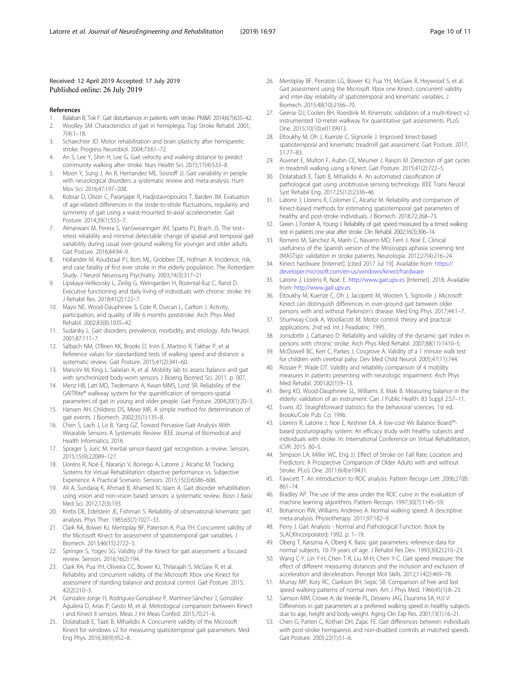# <span id="page-9-0"></span>Received: 12 April 2019 Accepted: 17 July 2019 Published online: 26 July 2019

#### References

- 1. Balaban B, Tok F. Gait disturbances in patients with stroke. PM&R. 2014;6(7):635–42.
- 2. Woolley SM. Characteristics of gait in hemiplegia. Top Stroke Rehabil. 2001; 7(4):1–18.
- 3. Schaechter JD. Motor rehabilitation and brain plasticity after hemiparetic stroke. Progress Neurobiol. 2004;73:61–72.
- 4. An S, Lee Y, Shin H, Lee G. Gait velocity and walking distance to predict community walking after stroke. Nurs Health Sci. 2015;17(4):533–8.
- Moon Y, Sung J, An R, Hernandez ME, Sosnoff JJ. Gait variability in people with neurological disorders: a systematic review and meta-analysis. Hum Mov Sci. 2016;47:197–208.
- 6. Kobsar D, Olson C, Paranjape R, Hadjistavropoulos T, Barden JM. Evaluation of age-related differences in the stride-to-stride fluctuations, regularity and symmetry of gait using a waist-mounted tri-axial accelerometer. Gait Posture. 2014;39(1):553–7.
- Almarwani M, Perera S, VanSwearingen JM, Sparto PJ, Brach JS. The testretest reliability and minimal detectable change of spatial and temporal gait variability during usual over-ground walking for younger and older adults. Gait Posture. 2016;44:94–9.
- 8. Hollander M, Koudstaal PJ, Bots ML, Grobbee DE, Hofman A. Incidence, risk, and case fatality of first ever stroke in the elderly population. The Rotterdam Study. J Neurol Neurosurg Psychiatry. 2003;74(3):317–21
- 9. Lipskaya-Velikovsky L, Zeilig G, Weingarden H, Rozental-Iluz C, Rand D. Executive functioning and daily living of individuals with chronic stroke. Int J Rehabil Res. 2018;41(2):122–7.
- 10. Mayo NE, Wood-Dauphinee S, Cote R, Durcan L, Carlton J. Activity, participation, and quality of life 6 months poststroke. Arch Phys Med Rehabil. 2002;83(8):1035–42.
- 11. Sudarsky L. Gait disorders: prevalence, morbidity, and etiology. Adv Neurol. 2001;87:111–7.
- 12. Salbach NM, O'Brien KK, Brooks D, Irvin E, Martino R, Takhar P, et al. Reference values for standardized tests of walking speed and distance: a systematic review. Gait Posture. 2015;41(2):341–60.
- 13. Mancini M, King L, Salarian A, et al. Mobility lab to assess balance and gait with synchronized body-worn sensors. J Bioeng Biomed Sci. 2011. p. 007.
- 14. Menz HB, Latt MD, Tiedemann A, Kwan MMS, Lord SR. Reliability of the GAITRite® walkway system for the quantification of temporo-spatial parameters of gait in young and older people. Gait Posture. 2004;20(1):20–5.
- 15. Hansen AH, Childress DS, Meier MR. A simple method for determination of gait events. J Biomech. 2002;35(1):135–8.
- 16. Chen S, Lach J, Lo B, Yang GZ. Toward Pervasive Gait Analysis With Wearable Sensors: A Systematic Review. IEEE Journal of Biomedical and Health Informatics; 2016.
- 17. Sprager S, Juric M. Inertial sensor-based gait recognition: a review. Sensors. 2015;15(9):22089–127.
- 18. Lloréns R, Noé E, Naranjo V, Borrego A, Latorre J, Alcañiz M. Tracking Systems for Virtual Rehabilitation: objective performance vs. Subjective Experience A Practical Scenario. Sensors. 2015;15(3):6586–606.
- 19. Ali A, Sundaraj K, Ahmad B, Ahamed N, Islam A. Gait disorder rehabilitation using vision and non-vision based sensors: a systematic review. Bosn J Basic Med Sci. 2012;12(3):193.
- 20. Krebs DE, Edelstein JE, Fishman S. Reliability of observational kinematic gait analysis. Phys Ther. 1985;65(7):1027–33.
- 21. Clark RA, Bower KJ, Mentiplay BF, Paterson K, Pua YH. Concurrent validity of the Microsoft Kinect for assessment of spatiotemporal gait variables. J Biomech. 2013;46(15):2722–5.
- 22. Springer S, Yogev SG. Validity of the Kinect for gait assessment: a focused review. Sensors. 2016;16(2):194.
- 23. Clark RA, Pua YH, Oliveira CC, Bower KJ, Thilarajah S, McGaw R, et al. Reliability and concurrent validity of the Microsoft Xbox one Kinect for assessment of standing balance and postural control. Gait Posture. 2015; 42(2):210–3.
- 24. Gonzalez-Jorge H, Rodríguez-Gonzálvez P, Martínez-Sánchez J, González-Aguilera D, Arias P, Gesto M, et al. Metrological comparison between Kinect i and Kinect II sensors. Meas J Int Meas Confed. 2015;70:21–6.
- 25. Dolatabadi E, Taati B, Mihailidis A. Concurrent validity of the Microsoft Kinect for windows v2 for measuring spatiotemporal gait parameters. Med Eng Phys. 2016;38(9):952–8.
- 26. Mentiplay BF, Perraton LG, Bower KJ, Pua YH, McGaw R, Heywood S, et al. Gait assessment using the Microsoft Xbox one Kinect: concurrent validity and inter-day reliability of spatiotemporal and kinematic variables. J Biomech. 2015;48(10):2166–70.
- 27. Geerse DJ, Coolen BH, Roerdink M. Kinematic validation of a multi-Kinect v2 instrumented 10-meter walkway for quantitative gait assessments. PLoS One. 2015;10(10):e0139913.
- 28. Eltoukhy M, Oh J, Kuenze C, Signorile J. Improved kinect-based spatiotemporal and kinematic treadmill gait assessment. Gait Posture. 2017; 51:77–83.
- 29. Auvinet E, Multon F, Aubin CE, Meunier J, Raison M. Detection of gait cycles in treadmill walking using a Kinect. Gait Posture. 2015;41(2):722–5.
- 30. Dolatabadi E, Taati B, Mihailidis A. An automated classification of pathological gait using unobtrusive sensing technology. IEEE Trans Neural Syst Rehabil Eng. 2017;25(12):2336–46.
- 31. Latorre J, Llorens R, Colomer C, Alcañiz M. Reliability and comparison of Kinect-based methods for estimating spatiotemporal gait parameters of healthy and post-stroke individuals. J Biomech. 2018;72:268–73.
- 32. Green J, Forster A, Young J. Reliability of gait speed measured by a timed walking test in patients one year after stroke. Clin Rehabil. 2002;16(3):306–14.
- 33. Romero M, Sánchez A, Marín C, Navarro MD, Ferri J, Noé E. Clinical usefulness of the Spanish version of the Mississippi aphasia screening test (MASTsp): validation in stroke patients. Neurología. 2012;27(4):216–24.
- 34. Kinect hardware [Internet]. [cited 2017 Jul 19]. Available from: [https://](https://developer.microsoft.com/en-us/windows/kinect/hardware) [developer.microsoft.com/en-us/windows/kinect/hardware](https://developer.microsoft.com/en-us/windows/kinect/hardware)
- 35. Latorre J, Lloréns R, Noé. E. <http://www.gait.upv.es> [Internet]. 2018. Available from: <http://www.gait.upv.es>
- 36. Eltoukhy M, Kuenze C, Oh J, Jacopetti M, Wooten S, Signorile J. Microsoft Kinect can distinguish differences in over-ground gait between older persons with and without Parkinson's disease. Med Eng Phys. 2017;44:1–7.
- 37. Shumway-Cook A, Woollacott M. Motor control: theory and practical applications. 2nd ed. Int J Peadiatric. 1995.
- 38. Jonsdottir J, Cattaneo D. Reliability and validity of the dynamic gait index in persons with chronic stroke. Arch Phys Med Rehabil. 2007;88(11):1410–5.
- 39. McDowell BC, Kerr C, Parkes J, Cosgrove A. Validity of a 1 minute walk test for children with cerebral palsy. Dev Med Child Neurol. 2005;47(11):744.
- 40. Rossier P, Wade DT. Validity and reliability comparison of 4 mobility measures in patients presenting with neurologic impairment. Arch Phys Med Rehabil. 2001;82(1):9–13.
- 41. Berg KO, Wood-Dauphinee SL, Williams JI, Maki B. Measuring balance in the elderly: validation of an instrument. Can J Public Health. 83 Suppl 2:S7–11.
- 42. Evans JD. Straightforward statistics for the behavioral sciences. 1st ed. Brooks/Cole Pub. Co; 1996.
- 43. Llorens R, Latorre J, Noe E, Keshner EA. A low-cost Wii Balance Board™ based posturography system: An efficacy study with healthy subjects and individuals with stroke. In: International Conference on Virtual Rehabilitation, ICVR. 2015. 80–5.
- 44. Simpson LA, Miller WC, Eng JJ. Effect of Stroke on Fall Rate, Location and Predictors: A Prospective Comparison of Older Adults with and without Stroke. PLoS One. 2011;6(4):e19431.
- 45. Fawcett T. An introduction to ROC analysis. Pattern Recogn Lett. 2006;27(8): 861–74.
- 46. Bradley AP. The use of the area under the ROC curve in the evaluation of machine learning algorithms. Pattern Recogn. 1997;30(7):1145–59.
- 47. Bohannon RW, Williams Andrews A. Normal walking speed: A descriptive meta-analysis. Physiotherapy. 2011;97:182–9.
- 48. Perry J. Gait Analysis Normal and Pathological Function. Book by SLACKIncorporated; 1992. p. 1–19.
- 49. Oberg T, Karsznia A, Oberg K. Basic gait parameters: reference data for normal subjects, 10-79 years of age. J Rehabil Res Dev. 1993;30(2):210–23.
- 50. Wang C-Y, Lin Y-H, Chen T-R, Liu M-H, Chen Y-C. Gait speed measure: the effect of different measuring distances and the inclusion and exclusion of acceleration and deceleration. Percept Mot Skills. 2012;114(2):469–78.
- 51. Murray MP, Kory RC, Clarkson BH, Sepic SB. Comparison of free and fast speed walking patterns of normal men. Am J Phys Med. 1966;45(1):8–23.
- 52. Samson MM, Crowe A, de Vreede PL, Dessens JAG, Duursma SA, HJJ V. Differences in gait parameters at a preferred walking speed in healthy subjects due to age, height and body weight. Aging Clin Exp Res. 2001;13(1):16–21.
- 53. Chen G, Patten C, Kothari DH, Zajac FE. Gait differences between individuals with post-stroke hemiparesis and non-disabled controls at matched speeds. Gait Posture. 2005;22(1):51–6.